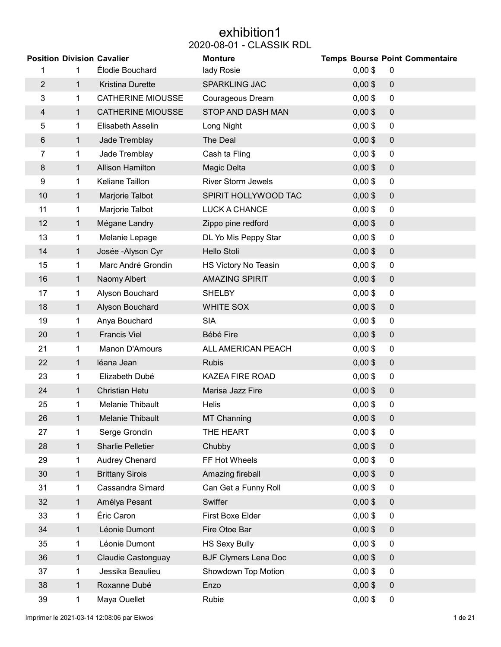# exhibition1 2020-08-01 - CLASSIK RDL

| <b>Position Division Cavalier</b> |              |                          | <b>Monture</b>              |           | <b>Temps Bourse Point Commentaire</b> |
|-----------------------------------|--------------|--------------------------|-----------------------------|-----------|---------------------------------------|
| 1                                 | 1            | Élodie Bouchard          | lady Rosie                  | $0,00$ \$ | 0                                     |
| $\overline{2}$                    | $\mathbf 1$  | Kristina Durette         | <b>SPARKLING JAC</b>        | $0,00$ \$ | $\pmb{0}$                             |
| 3                                 | 1            | <b>CATHERINE MIOUSSE</b> | Courageous Dream            | $0,00$ \$ | $\mathbf 0$                           |
| $\overline{4}$                    | 1            | <b>CATHERINE MIOUSSE</b> | STOP AND DASH MAN           | $0,00$ \$ | $\pmb{0}$                             |
| 5                                 | 1            | Elisabeth Asselin        | Long Night                  | $0,00$ \$ | $\mathbf 0$                           |
| $\,6$                             | $\mathbf 1$  | Jade Tremblay            | The Deal                    | $0,00$ \$ | $\pmb{0}$                             |
| 7                                 | 1            | Jade Tremblay            | Cash ta Fling               | $0,00$ \$ | $\pmb{0}$                             |
| 8                                 | $\mathbf 1$  | <b>Allison Hamilton</b>  | Magic Delta                 | $0,00$ \$ | $\pmb{0}$                             |
| 9                                 | 1            | Keliane Taillon          | <b>River Storm Jewels</b>   | $0,00$ \$ | $\mathbf 0$                           |
| 10                                | 1            | Marjorie Talbot          | SPIRIT HOLLYWOOD TAC        | $0,00$ \$ | $\mathbf 0$                           |
| 11                                | 1            | Marjorie Talbot          | <b>LUCK A CHANCE</b>        | $0,00$ \$ | $\mathbf 0$                           |
| 12                                | 1            | Mégane Landry            | Zippo pine redford          | $0,00$ \$ | $\pmb{0}$                             |
| 13                                | 1            | Melanie Lepage           | DL Yo Mis Peppy Star        | $0,00$ \$ | $\pmb{0}$                             |
| 14                                | $\mathbf 1$  | Josée - Alyson Cyr       | Hello Stoli                 | $0,00$ \$ | $\pmb{0}$                             |
| 15                                | 1            | Marc André Grondin       | HS Victory No Teasin        | $0,00$ \$ | $\pmb{0}$                             |
| 16                                | $\mathbf{1}$ | Naomy Albert             | <b>AMAZING SPIRIT</b>       | $0,00$ \$ | $\pmb{0}$                             |
| 17                                | 1            | Alyson Bouchard          | <b>SHELBY</b>               | $0,00$ \$ | $\overline{0}$                        |
| 18                                | 1            | Alyson Bouchard          | WHITE SOX                   | $0,00$ \$ | $\mathbf 0$                           |
| 19                                | 1            | Anya Bouchard            | <b>SIA</b>                  | $0,00$ \$ | $\overline{0}$                        |
| 20                                | $\mathbf{1}$ | <b>Francis Viel</b>      | Bébé Fire                   | $0,00$ \$ | $\pmb{0}$                             |
| 21                                | 1            | Manon D'Amours           | ALL AMERICAN PEACH          | $0,00$ \$ | $\pmb{0}$                             |
| 22                                | 1            | léana Jean               | <b>Rubis</b>                | $0,00$ \$ | $\pmb{0}$                             |
| 23                                | 1            | Elizabeth Dubé           | <b>KAZEA FIRE ROAD</b>      | $0,00$ \$ | $\pmb{0}$                             |
| 24                                | 1            | <b>Christian Hetu</b>    | Marisa Jazz Fire            | $0,00$ \$ | $\mathbf 0$                           |
| 25                                | 1.           | Melanie Thibault         | <b>Helis</b>                | $0,00$ \$ | 0                                     |
| 26                                | $\mathbf{1}$ | Melanie Thibault         | <b>MT Channing</b>          | $0,00$ \$ | $\mathbf 0$                           |
| 27                                | 1            | Serge Grondin            | THE HEART                   | $0,00$ \$ | 0                                     |
| 28                                | $\mathbf 1$  | <b>Sharlie Pelletier</b> | Chubby                      | $0,00$ \$ | $\overline{0}$                        |
| 29                                | 1            | Audrey Chenard           | FF Hot Wheels               | $0,00$ \$ | 0                                     |
| 30                                | 1            | <b>Brittany Sirois</b>   | Amazing fireball            | $0,00$ \$ | $\mathbf 0$                           |
| 31                                | 1            | Cassandra Simard         | Can Get a Funny Roll        | $0,00$ \$ | 0                                     |
| 32                                | 1            | Amélya Pesant            | Swiffer                     | $0,00$ \$ | $\pmb{0}$                             |
| 33                                | 1            | Éric Caron               | First Boxe Elder            | $0,00$ \$ | $\overline{0}$                        |
| 34                                | $\mathbf 1$  | Léonie Dumont            | Fire Otoe Bar               | $0,00$ \$ | $\pmb{0}$                             |
| 35                                | 1            | Léonie Dumont            | <b>HS Sexy Bully</b>        | $0,00$ \$ | $\overline{0}$                        |
| 36                                | 1            | Claudie Castonguay       | <b>BJF Clymers Lena Doc</b> | $0,00$ \$ | $\mathbf 0$                           |
| 37                                | 1            | Jessika Beaulieu         | Showdown Top Motion         | $0,00$ \$ | $\overline{0}$                        |
| 38                                | $\mathbf{1}$ | Roxanne Dubé             | Enzo                        | $0,00$ \$ | $\mathbf 0$                           |
| 39                                | 1            | Maya Ouellet             | Rubie                       | $0,00$ \$ | $\overline{0}$                        |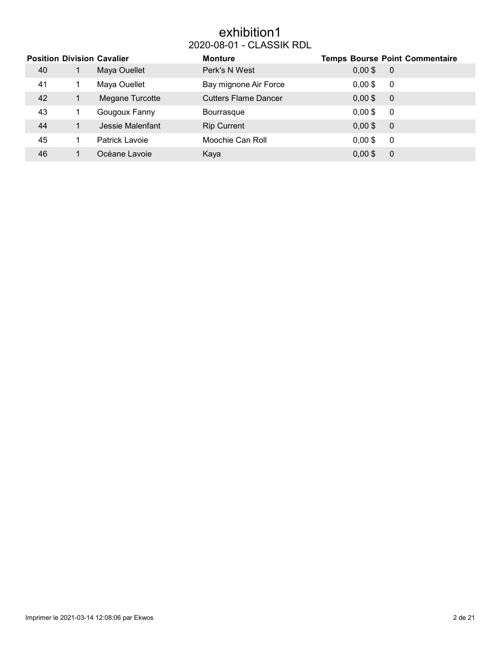# exhibition1 2020-08-01 - CLASSIK RDL

|    | <b>Position Division Cavalier</b> | <b>Monture</b>              |           | <b>Temps Bourse Point Commentaire</b> |
|----|-----------------------------------|-----------------------------|-----------|---------------------------------------|
| 40 | Maya Ouellet                      | Perk's N West               | $0,00$ \$ | $\overline{0}$                        |
| 41 | Maya Ouellet                      | Bay mignone Air Force       | $0,00$ \$ | - 0                                   |
| 42 | Megane Turcotte                   | <b>Cutters Flame Dancer</b> | $0,00$ \$ | $\overline{0}$                        |
| 43 | Gougoux Fanny                     | <b>Bourrasque</b>           | $0,00$ \$ | -0                                    |
| 44 | Jessie Malenfant                  | <b>Rip Current</b>          | $0,00$ \$ | $\overline{0}$                        |
| 45 | Patrick Lavoie                    | Moochie Can Roll            | $0,00$ \$ | 0                                     |
| 46 | Océane Lavoie                     | Kaya                        | $0,00$ \$ | $\overline{0}$                        |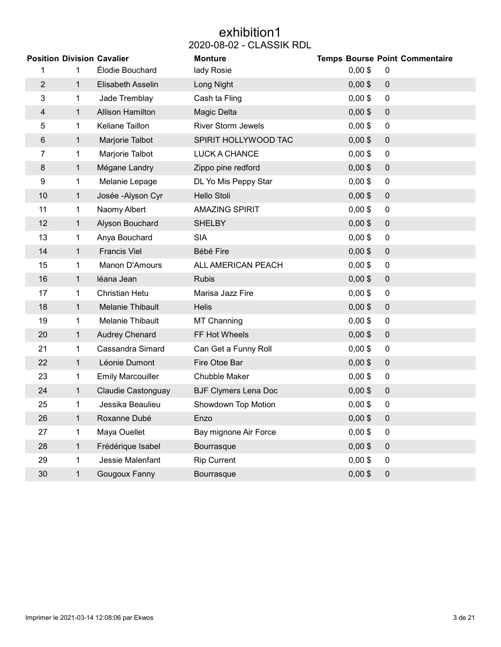# exhibition1 2020-08-02 - CLASSIK RDL

|                |              | <b>Position Division Cavalier</b> | <b>Monture</b>              |           | <b>Temps Bourse Point Commentaire</b> |
|----------------|--------------|-----------------------------------|-----------------------------|-----------|---------------------------------------|
| 1              | 1            | Élodie Bouchard                   | lady Rosie                  | $0,00$ \$ | 0                                     |
| $\overline{2}$ | $\mathbf 1$  | Elisabeth Asselin                 | Long Night                  | $0,00$ \$ | $\pmb{0}$                             |
| 3              | 1            | Jade Tremblay                     | Cash ta Fling               | $0,00$ \$ | $\mathbf 0$                           |
| 4              | $\mathbf 1$  | <b>Allison Hamilton</b>           | Magic Delta                 | $0,00$ \$ | $\mathbf 0$                           |
| 5              | 1            | Keliane Taillon                   | <b>River Storm Jewels</b>   | $0,00$ \$ | $\pmb{0}$                             |
| $\,6$          | $\mathbf 1$  | Marjorie Talbot                   | SPIRIT HOLLYWOOD TAC        | $0,00$ \$ | $\pmb{0}$                             |
| 7              | 1            | Marjorie Talbot                   | <b>LUCK A CHANCE</b>        | $0,00$ \$ | $\pmb{0}$                             |
| 8              | 1            | Mégane Landry                     | Zippo pine redford          | $0,00$ \$ | $\mathbf 0$                           |
| 9              | 1            | Melanie Lepage                    | DL Yo Mis Peppy Star        | $0,00$ \$ | $\pmb{0}$                             |
| 10             | 1            | Josée - Alyson Cyr                | Hello Stoli                 | $0,00$ \$ | $\pmb{0}$                             |
| 11             | 1            | Naomy Albert                      | <b>AMAZING SPIRIT</b>       | $0,00$ \$ | $\boldsymbol{0}$                      |
| 12             | $\mathbf 1$  | Alyson Bouchard                   | <b>SHELBY</b>               | $0,00$ \$ | $\mathbf 0$                           |
| 13             | 1            | Anya Bouchard                     | <b>SIA</b>                  | $0,00$ \$ | $\pmb{0}$                             |
| 14             | $\mathbf{1}$ | <b>Francis Viel</b>               | Bébé Fire                   | $0,00$ \$ | $\pmb{0}$                             |
| 15             | 1            | Manon D'Amours                    | ALL AMERICAN PEACH          | $0,00$ \$ | $\pmb{0}$                             |
| 16             | 1            | léana Jean                        | <b>Rubis</b>                | $0,00$ \$ | $\pmb{0}$                             |
| 17             | 1            | Christian Hetu                    | Marisa Jazz Fire            | $0,00$ \$ | $\boldsymbol{0}$                      |
| 18             | $\mathbf 1$  | Melanie Thibault                  | <b>Helis</b>                | $0,00$ \$ | $\pmb{0}$                             |
| 19             | 1            | Melanie Thibault                  | MT Channing                 | $0,00$ \$ | $\pmb{0}$                             |
| 20             | 1            | <b>Audrey Chenard</b>             | FF Hot Wheels               | $0,00$ \$ | $\mathbf 0$                           |
| 21             | 1            | Cassandra Simard                  | Can Get a Funny Roll        | $0,00$ \$ | $\pmb{0}$                             |
| 22             | 1            | Léonie Dumont                     | Fire Otoe Bar               | $0,00$ \$ | $\pmb{0}$                             |
| 23             | 1            | <b>Emily Marcouiller</b>          | Chubble Maker               | $0,00$ \$ | $\pmb{0}$                             |
| 24             | 1            | <b>Claudie Castonguay</b>         | <b>BJF Clymers Lena Doc</b> | $0,00$ \$ | $\mathbf 0$                           |
| 25             | 1            | Jessika Beaulieu                  | Showdown Top Motion         | $0,00$ \$ | $\pmb{0}$                             |
| 26             |              | Roxanne Dubé                      | Enzo                        | $0,00$ \$ | $\pmb{0}$                             |
| 27             | 1.           | Maya Ouellet                      | Bay mignone Air Force       | $0,00$ \$ | 0                                     |
| 28             | $\mathbf 1$  | Frédérique Isabel                 | Bourrasque                  | $0,00$ \$ | $\pmb{0}$                             |
| 29             | 1            | Jessie Malenfant                  | <b>Rip Current</b>          | $0,00$ \$ | 0                                     |
| 30             | $\mathbf{1}$ | Gougoux Fanny                     | Bourrasque                  | $0,00$ \$ | $\pmb{0}$                             |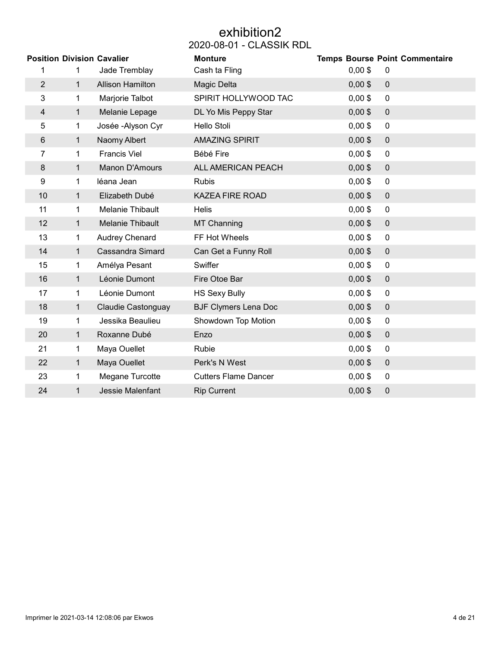# exhibition2 2020-08-01 - CLASSIK RDL

|                |              | <b>Position Division Cavalier</b> | <b>Monture</b>              |           | <b>Temps Bourse Point Commentaire</b> |
|----------------|--------------|-----------------------------------|-----------------------------|-----------|---------------------------------------|
| 1              | $\mathbf 1$  | Jade Tremblay                     | Cash ta Fling               | $0,00$ \$ | 0                                     |
| $\overline{2}$ | $\mathbf{1}$ | <b>Allison Hamilton</b>           | Magic Delta                 | $0,00$ \$ | $\mathbf 0$                           |
| 3              | $\mathbf{1}$ | Marjorie Talbot                   | SPIRIT HOLLYWOOD TAC        | $0,00$ \$ | $\pmb{0}$                             |
| $\overline{4}$ | $\mathbf{1}$ | Melanie Lepage                    | DL Yo Mis Peppy Star        | $0,00$ \$ | $\mathbf 0$                           |
| 5              | $\mathbf{1}$ | Josée - Alyson Cyr                | Hello Stoli                 | $0,00$ \$ | $\pmb{0}$                             |
| 6              | $\mathbf 1$  | Naomy Albert                      | <b>AMAZING SPIRIT</b>       | $0,00$ \$ | $\mathbf 0$                           |
| $\overline{7}$ | $\mathbf{1}$ | <b>Francis Viel</b>               | Bébé Fire                   | $0,00$ \$ | $\pmb{0}$                             |
| 8              | $\mathbf{1}$ | Manon D'Amours                    | ALL AMERICAN PEACH          | $0,00$ \$ | $\boldsymbol{0}$                      |
| 9              | $\mathbf 1$  | léana Jean                        | <b>Rubis</b>                | $0,00$ \$ | $\mathbf 0$                           |
| 10             | $\mathbf 1$  | Elizabeth Dubé                    | <b>KAZEA FIRE ROAD</b>      | $0,00$ \$ | $\mathbf 0$                           |
| 11             | $\mathbf 1$  | Melanie Thibault                  | <b>Helis</b>                | $0,00$ \$ | $\mathbf 0$                           |
| 12             | $\mathbf 1$  | Melanie Thibault                  | MT Channing                 | $0,00$ \$ | $\mathbf 0$                           |
| 13             | $\mathbf 1$  | Audrey Chenard                    | FF Hot Wheels               | $0,00$ \$ | $\pmb{0}$                             |
| 14             | $\mathbf{1}$ | Cassandra Simard                  | Can Get a Funny Roll        | $0,00$ \$ | $\mathbf 0$                           |
| 15             | 1            | Amélya Pesant                     | Swiffer                     | $0,00$ \$ | $\mathbf 0$                           |
| 16             | $\mathbf{1}$ | Léonie Dumont                     | Fire Otoe Bar               | $0,00$ \$ | $\mathbf 0$                           |
| 17             | 1            | Léonie Dumont                     | <b>HS Sexy Bully</b>        | $0,00$ \$ | $\mathbf 0$                           |
| 18             | 1            | <b>Claudie Castonguay</b>         | <b>BJF Clymers Lena Doc</b> | $0,00$ \$ | $\mathbf 0$                           |
| 19             | 1            | Jessika Beaulieu                  | Showdown Top Motion         | $0,00$ \$ | $\pmb{0}$                             |
| 20             | $\mathbf 1$  | Roxanne Dubé                      | Enzo                        | $0,00$ \$ | $\mathbf 0$                           |
| 21             | $\mathbf{1}$ | Maya Ouellet                      | Rubie                       | $0,00$ \$ | $\pmb{0}$                             |
| 22             | $\mathbf{1}$ | Maya Ouellet                      | Perk's N West               | $0,00$ \$ | $\mathbf 0$                           |
| 23             | 1            | Megane Turcotte                   | <b>Cutters Flame Dancer</b> | $0,00$ \$ | $\pmb{0}$                             |
| 24             | 1            | Jessie Malenfant                  | <b>Rip Current</b>          | $0,00$ \$ | 0                                     |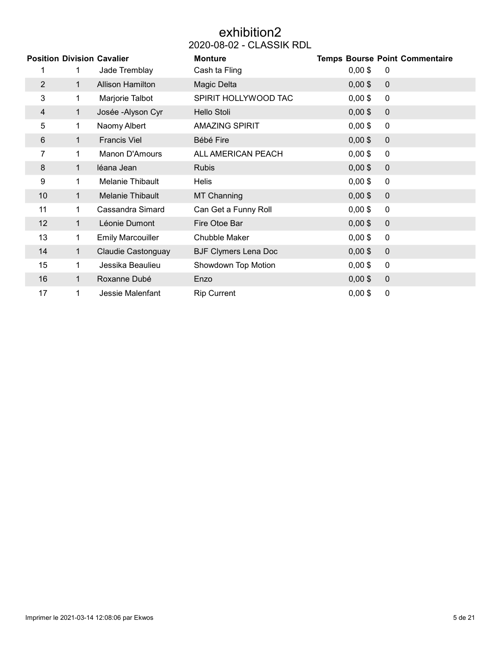# exhibition2 2020-08-02 - CLASSIK RDL

|                |              | <b>Position Division Cavalier</b> | <b>Monture</b>              |           | <b>Temps Bourse Point Commentaire</b> |
|----------------|--------------|-----------------------------------|-----------------------------|-----------|---------------------------------------|
| 1              | 1            | Jade Tremblay                     | Cash ta Fling               | $0,00$ \$ | 0                                     |
| $\overline{2}$ | $\mathbf{1}$ | <b>Allison Hamilton</b>           | Magic Delta                 | $0,00$ \$ | $\mathbf 0$                           |
| 3              | 1            | Marjorie Talbot                   | SPIRIT HOLLYWOOD TAC        | $0,00$ \$ | 0                                     |
| 4              | 1            | Josée - Alyson Cyr                | Hello Stoli                 | $0,00$ \$ | $\mathbf 0$                           |
| 5              | 1            | Naomy Albert                      | <b>AMAZING SPIRIT</b>       | $0,00$ \$ | $\pmb{0}$                             |
| 6              | $\mathbf{1}$ | <b>Francis Viel</b>               | Bébé Fire                   | $0,00$ \$ | $\pmb{0}$                             |
| 7              | 1            | Manon D'Amours                    | ALL AMERICAN PEACH          | $0,00$ \$ | $\pmb{0}$                             |
| 8              | 1            | léana Jean                        | <b>Rubis</b>                | $0,00$ \$ | $\mathbf 0$                           |
| 9              | 1.           | <b>Melanie Thibault</b>           | <b>Helis</b>                | $0,00$ \$ | $\mathbf 0$                           |
| 10             | 1            | Melanie Thibault                  | <b>MT Channing</b>          | $0,00$ \$ | $\mathbf 0$                           |
| 11             | 1.           | Cassandra Simard                  | Can Get a Funny Roll        | $0,00$ \$ | $\mathbf 0$                           |
| 12             | $\mathbf{1}$ | Léonie Dumont                     | Fire Otoe Bar               | $0,00$ \$ | $\mathbf 0$                           |
| 13             | 1            | <b>Emily Marcouiller</b>          | Chubble Maker               | $0,00$ \$ | $\pmb{0}$                             |
| 14             | $\mathbf{1}$ | Claudie Castonguay                | <b>BJF Clymers Lena Doc</b> | $0,00$ \$ | $\mathbf 0$                           |
| 15             | 1            | Jessika Beaulieu                  | Showdown Top Motion         | $0,00$ \$ | $\mathbf 0$                           |
| 16             | 1            | Roxanne Dubé                      | Enzo                        | $0,00$ \$ | $\mathbf 0$                           |
| 17             | 1            | Jessie Malenfant                  | <b>Rip Current</b>          | $0,00$ \$ | $\pmb{0}$                             |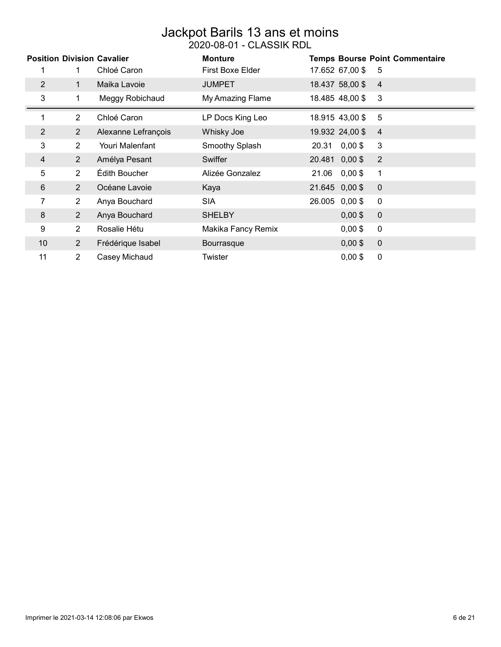### Jackpot Barils 13 ans et moins 2020-08-01 - CLASSIK RDL

|                |                | <b>Position Division Cavalier</b><br>Chloé Caron | <b>Monture</b><br><b>First Boxe Elder</b> |                    | <b>Temps Bourse Point Commentaire</b> |
|----------------|----------------|--------------------------------------------------|-------------------------------------------|--------------------|---------------------------------------|
|                |                |                                                  |                                           | 17.652 67,00 \$    | -5                                    |
| $\overline{2}$ | 1.             | Maika Lavoie                                     | <b>JUMPET</b>                             | 18.437 58,00 \$    | $\overline{4}$                        |
| 3              | 1              | Meggy Robichaud                                  | My Amazing Flame                          | 18.485 48,00 \$    | 3                                     |
|                | $\overline{2}$ | Chloé Caron                                      | LP Docs King Leo                          | 18.915 43,00 \$    | 5                                     |
| $\overline{2}$ | $\overline{2}$ | Alexanne Lefrançois                              | Whisky Joe                                | 19.932 24,00 \$    | $\overline{4}$                        |
| 3              | $\overline{2}$ | Youri Malenfant                                  | Smoothy Splash                            | $0,00$ \$<br>20.31 | 3                                     |
| 4              | $\overline{2}$ | Amélya Pesant                                    | Swiffer                                   | 20.481 0,00 \$     | $\overline{2}$                        |
| 5              | $\overline{2}$ | Édith Boucher                                    | Alizée Gonzalez                           | $0,00$ \$<br>21.06 | 1                                     |
| 6              | $\overline{2}$ | Océane Lavoie                                    | Kaya                                      | 21.645 0,00 \$     | $\mathbf 0$                           |
| 7              | $\overline{2}$ | Anya Bouchard                                    | <b>SIA</b>                                | 26.005 0,00\$      | $\mathbf{0}$                          |
| 8              | $\overline{2}$ | Anya Bouchard                                    | <b>SHELBY</b>                             | $0,00$ \$          | $\mathbf 0$                           |
| 9              | $\overline{2}$ | Rosalie Hétu                                     | Makika Fancy Remix                        | $0,00$ \$          | $\mathbf{0}$                          |
| 10             | $\overline{2}$ | Frédérique Isabel                                | Bourrasque                                | $0,00$ \$          | $\mathbf 0$                           |
| 11             | $\overline{2}$ | Casey Michaud                                    | Twister                                   | $0,00$ \$          | 0                                     |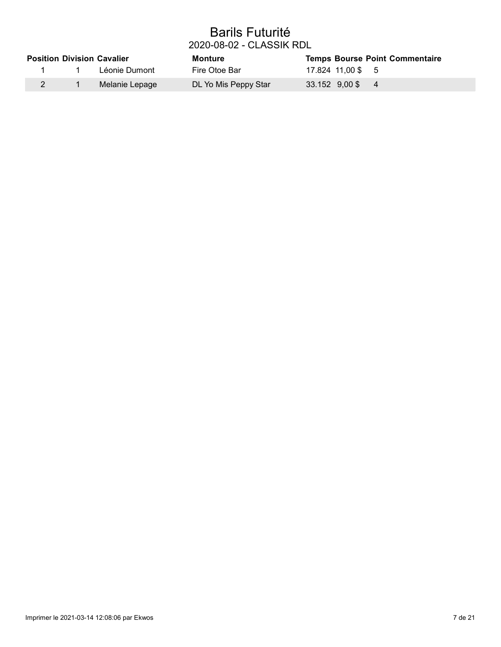### Barils Futurité 2020-08-02 - CLASSIK RDL

|  | <b>Position Division Cavalier</b> | Monture              | <b>Temps Bourse Point Commentaire</b> |
|--|-----------------------------------|----------------------|---------------------------------------|
|  | Léonie Dumont                     | Fire Otoe Bar        | 17.824 11.00 \$ 5                     |
|  | Melanie Lepage                    | DL Yo Mis Peppy Star | 33.152 9,00 \$4                       |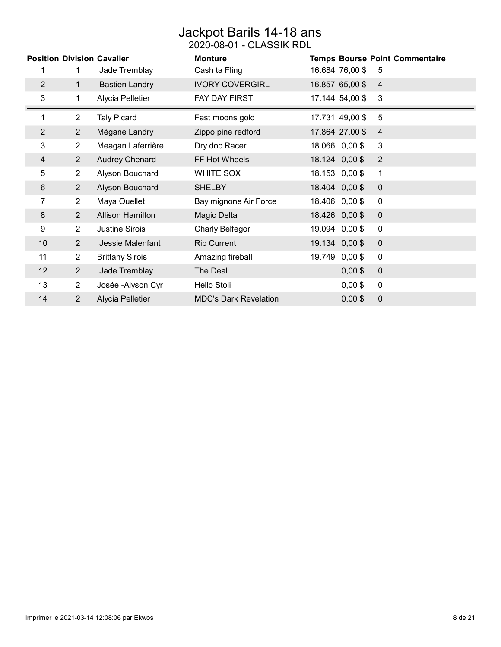# Jackpot Barils 14-18 ans

2020-08-01 - CLASSIK RDL

|                |                | <b>Position Division Cavalier</b> | <b>Monture</b>               |                     | <b>Temps Bourse Point Commentaire</b> |
|----------------|----------------|-----------------------------------|------------------------------|---------------------|---------------------------------------|
| 1              | 1              | Jade Tremblay                     | Cash ta Fling                | 16.684 76,00 \$     | 5                                     |
| $\overline{2}$ | $\mathbf 1$    | <b>Bastien Landry</b>             | <b>IVORY COVERGIRL</b>       | 16.857 65,00 \$     | $\overline{4}$                        |
| 3              | 1              | Alycia Pelletier                  | <b>FAY DAY FIRST</b>         | 17.144 54,00 \$     | 3                                     |
| 1              | $\overline{2}$ | <b>Taly Picard</b>                | Fast moons gold              | 17.731 49,00 \$     | 5                                     |
| $\overline{2}$ | $\overline{2}$ | Mégane Landry                     | Zippo pine redford           | 17.864 27,00 \$     | $\overline{4}$                        |
| 3              | $\overline{2}$ | Meagan Laferrière                 | Dry doc Racer                | 18.066 0,00 \$      | 3                                     |
| $\overline{4}$ | $\overline{2}$ | <b>Audrey Chenard</b>             | FF Hot Wheels                | 18.124 0,00 \$      | $\overline{2}$                        |
| 5              | $\overline{2}$ | Alyson Bouchard                   | WHITE SOX                    | 18.153 0,00 \$      | 1                                     |
| 6              | $\overline{2}$ | Alyson Bouchard                   | <b>SHELBY</b>                | 18.404 0,00 \$      | $\overline{0}$                        |
| 7              | $\overline{2}$ | Maya Ouellet                      | Bay mignone Air Force        | 18.406 0,00 \$      | 0                                     |
| 8              | $\overline{2}$ | <b>Allison Hamilton</b>           | Magic Delta                  | 18.426 0,00 \$      | $\pmb{0}$                             |
| 9              | $\overline{2}$ | <b>Justine Sirois</b>             | Charly Belfegor              | $0,00$ \$<br>19.094 | 0                                     |
| 10             | 2              | Jessie Malenfant                  | <b>Rip Current</b>           | 19.134 0,00 \$      | $\mathbf 0$                           |
| 11             | 2              | <b>Brittany Sirois</b>            | Amazing fireball             | $0,00$ \$<br>19.749 | $\mathbf 0$                           |
| 12             | $\overline{2}$ | Jade Tremblay                     | The Deal                     | $0,00$ \$           | $\mathbf 0$                           |
| 13             | $\overline{2}$ | Josée - Alyson Cyr                | Hello Stoli                  | $0,00$ \$           | $\mathbf 0$                           |
| 14             | $\overline{2}$ | <b>Alycia Pelletier</b>           | <b>MDC's Dark Revelation</b> | $0,00$ \$           | 0                                     |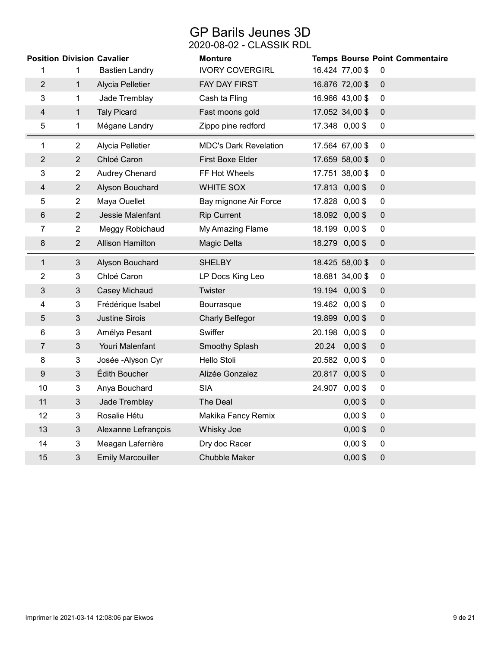# GP Barils Jeunes 3D

2020-08-02 - CLASSIK RDL

|                | <b>Position Division Cavalier</b> |                          | <b>Monture</b>               |       |                 |                  | <b>Temps Bourse Point Commentaire</b> |
|----------------|-----------------------------------|--------------------------|------------------------------|-------|-----------------|------------------|---------------------------------------|
| 1              | 1                                 | <b>Bastien Landry</b>    | <b>IVORY COVERGIRL</b>       |       | 16.424 77,00 \$ | 0                |                                       |
| $\overline{2}$ | $\mathbf{1}$                      | Alycia Pelletier         | FAY DAY FIRST                |       | 16.876 72,00 \$ | $\mathbf 0$      |                                       |
| 3              | 1                                 | Jade Tremblay            | Cash ta Fling                |       | 16.966 43,00 \$ | $\mathbf 0$      |                                       |
| 4              | $\mathbf{1}$                      | <b>Taly Picard</b>       | Fast moons gold              |       | 17.052 34,00 \$ | $\mathbf 0$      |                                       |
| 5              | 1                                 | Mégane Landry            | Zippo pine redford           |       | 17.348 0,00 \$  | $\mathbf 0$      |                                       |
| 1              | $\overline{2}$                    | Alycia Pelletier         | <b>MDC's Dark Revelation</b> |       | 17.564 67,00 \$ | $\mathbf 0$      |                                       |
| $\overline{2}$ | $\overline{2}$                    | Chloé Caron              | <b>First Boxe Elder</b>      |       | 17.659 58,00 \$ | $\mathbf 0$      |                                       |
| 3              | $\overline{2}$                    | Audrey Chenard           | FF Hot Wheels                |       | 17.751 38,00 \$ | $\mathbf 0$      |                                       |
| 4              | $\overline{2}$                    | Alyson Bouchard          | <b>WHITE SOX</b>             |       | 17.813 0,00 \$  | $\mathbf 0$      |                                       |
| 5              | $\overline{2}$                    | Maya Ouellet             | Bay mignone Air Force        |       | 17.828 0,00 \$  | $\mathbf 0$      |                                       |
| 6              | $\overline{2}$                    | Jessie Malenfant         | <b>Rip Current</b>           |       | 18.092 0,00 \$  | $\mathbf 0$      |                                       |
| 7              | $\overline{2}$                    | Meggy Robichaud          | My Amazing Flame             |       | 18.199 0,00 \$  | 0                |                                       |
| 8              | $\overline{2}$                    | <b>Allison Hamilton</b>  | Magic Delta                  |       | 18.279 0,00 \$  | $\boldsymbol{0}$ |                                       |
| $\mathbf 1$    | $\mathbf{3}$                      | Alyson Bouchard          | <b>SHELBY</b>                |       | 18.425 58,00 \$ | $\mathbf 0$      |                                       |
| $\overline{2}$ | 3                                 | Chloé Caron              | LP Docs King Leo             |       | 18.681 34,00 \$ | $\mathbf 0$      |                                       |
| 3              | $\mathfrak{B}$                    | Casey Michaud            | Twister                      |       | 19.194 0,00 \$  | $\mathbf 0$      |                                       |
| 4              | 3                                 | Frédérique Isabel        | Bourrasque                   |       | 19.462 0,00 \$  | 0                |                                       |
| 5              | $\mathbf{3}$                      | <b>Justine Sirois</b>    | <b>Charly Belfegor</b>       |       | 19.899 0,00 \$  | $\mathbf 0$      |                                       |
| 6              | 3                                 | Amélya Pesant            | Swiffer                      |       | 20.198 0,00 \$  | $\mathbf 0$      |                                       |
| 7              | $\mathbf{3}$                      | Youri Malenfant          | Smoothy Splash               | 20.24 | $0,00$ \$       | $\pmb{0}$        |                                       |
| 8              | 3                                 | Josée - Alyson Cyr       | Hello Stoli                  |       | 20.582 0,00 \$  | $\pmb{0}$        |                                       |
| 9              | $\mathfrak{Z}$                    | Édith Boucher            | Alizée Gonzalez              |       | 20.817 0,00 \$  | $\mathbf 0$      |                                       |
| 10             | 3                                 | Anya Bouchard            | <b>SIA</b>                   |       | 24.907 0,00 \$  | $\mathbf 0$      |                                       |
| 11             | $\mathbf{3}$                      | Jade Tremblay            | The Deal                     |       | $0,00$ \$       | $\mathbf 0$      |                                       |
| 12             | 3                                 | Rosalie Hétu             | Makika Fancy Remix           |       | $0,00$ \$       | $\mathbf 0$      |                                       |
| 13             | $\mathfrak{B}$                    | Alexanne Lefrançois      | Whisky Joe                   |       | $0,00$ \$       | $\mathbf 0$      |                                       |
| 14             | 3                                 | Meagan Laferrière        | Dry doc Racer                |       | $0,00$ \$       | $\mathbf 0$      |                                       |
| 15             | 3                                 | <b>Emily Marcouiller</b> | <b>Chubble Maker</b>         |       | $0,00$ \$       | 0                |                                       |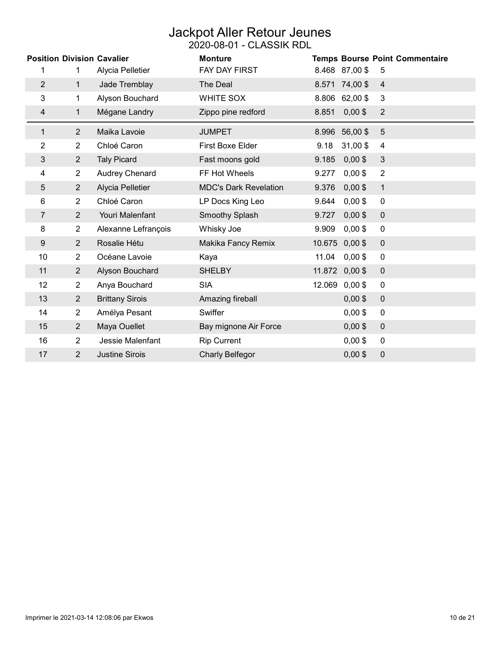### Jackpot Aller Retour Jeunes 2020-08-01 - CLASSIK RDL

|                |                | <b>Position Division Cavalier</b> | <b>Monture</b>               |        |                | <b>Temps Bourse Point Commentaire</b> |
|----------------|----------------|-----------------------------------|------------------------------|--------|----------------|---------------------------------------|
| 1              | 1              | Alycia Pelletier                  | <b>FAY DAY FIRST</b>         |        | 8.468 87,00 \$ | 5                                     |
| $\overline{2}$ | $\mathbf{1}$   | Jade Tremblay                     | The Deal                     | 8.571  | 74,00\$        | $\overline{4}$                        |
| 3              | $\mathbf 1$    | Alyson Bouchard                   | <b>WHITE SOX</b>             | 8.806  | 62,00\$        | 3                                     |
| 4              | 1              | Mégane Landry                     | Zippo pine redford           | 8.851  | $0,00$ \$      | $\overline{2}$                        |
| 1              | $\overline{2}$ | Maika Lavoie                      | <b>JUMPET</b>                | 8.996  | 56,00 \$       | 5                                     |
| 2              | $\overline{2}$ | Chloé Caron                       | First Boxe Elder             | 9.18   | 31,00\$        | 4                                     |
| 3              | $\overline{2}$ | <b>Taly Picard</b>                | Fast moons gold              | 9.185  | $0,00$ \$      | 3                                     |
| 4              | $\overline{2}$ | <b>Audrey Chenard</b>             | FF Hot Wheels                | 9.277  | $0,00$ \$      | $\overline{2}$                        |
| 5              | $\overline{2}$ | Alycia Pelletier                  | <b>MDC's Dark Revelation</b> | 9.376  | $0,00$ \$      | $\mathbf{1}$                          |
| 6              | $\overline{2}$ | Chloé Caron                       | LP Docs King Leo             | 9.644  | $0,00$ \$      | $\mathbf 0$                           |
| 7              | $\overline{2}$ | Youri Malenfant                   | Smoothy Splash               | 9.727  | $0,00$ \$      | $\mathbf 0$                           |
| 8              | 2              | Alexanne Lefrançois               | Whisky Joe                   | 9.909  | $0,00$ \$      | 0                                     |
| 9              | $\overline{2}$ | Rosalie Hétu                      | Makika Fancy Remix           | 10.675 | $0,00$ \$      | $\mathbf 0$                           |
| 10             | $\overline{2}$ | Océane Lavoie                     | Kaya                         | 11.04  | $0,00$ \$      | 0                                     |
| 11             | $\overline{2}$ | Alyson Bouchard                   | <b>SHELBY</b>                | 11.872 | $0,00$ \$      | $\mathbf 0$                           |
| 12             | $\overline{2}$ | Anya Bouchard                     | <b>SIA</b>                   | 12.069 | $0,00$ \$      | $\mathbf 0$                           |
| 13             | $\overline{2}$ | <b>Brittany Sirois</b>            | Amazing fireball             |        | $0,00$ \$      | $\pmb{0}$                             |
| 14             | $\overline{2}$ | Amélya Pesant                     | Swiffer                      |        | $0,00$ \$      | 0                                     |
| 15             | $\overline{2}$ | Maya Ouellet                      | Bay mignone Air Force        |        | $0,00$ \$      | $\mathbf 0$                           |
| 16             | $\overline{2}$ | Jessie Malenfant                  | <b>Rip Current</b>           |        | $0,00$ \$      | $\pmb{0}$                             |
| 17             | 2              | <b>Justine Sirois</b>             | Charly Belfegor              |        | $0,00$ \$      | $\boldsymbol{0}$                      |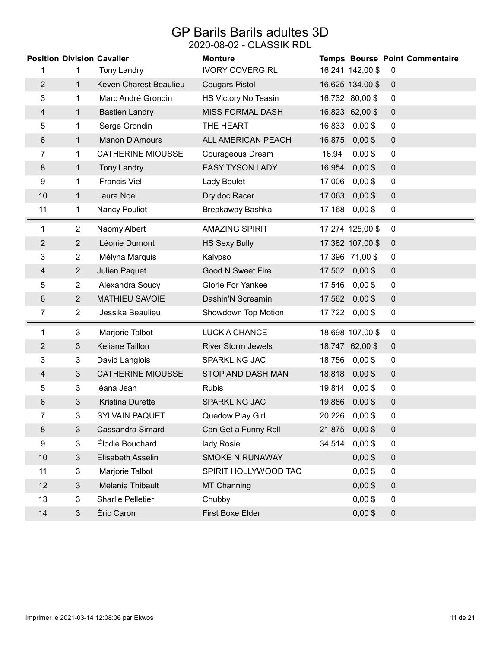### GP Barils Barils adultes 3D 2020-08-02 - CLASSIK RDL

|                |                | <b>Position Division Cavalier</b> | <b>Monture</b>            |        |                  | Temps Bourse Point Commentaire |
|----------------|----------------|-----------------------------------|---------------------------|--------|------------------|--------------------------------|
| 1              | 1              | <b>Tony Landry</b>                | <b>IVORY COVERGIRL</b>    |        | 16.241 142,00 \$ | 0                              |
| $\overline{2}$ | $\mathbf 1$    | Keven Charest Beaulieu            | <b>Cougars Pistol</b>     |        | 16.625 134,00 \$ | $\mathbf 0$                    |
| 3              | $\mathbf 1$    | Marc André Grondin                | HS Victory No Teasin      |        | 16.732 80,00 \$  | $\mathbf 0$                    |
| $\overline{4}$ | $\mathbf{1}$   | <b>Bastien Landry</b>             | <b>MISS FORMAL DASH</b>   |        | 16.823 62,00 \$  | $\pmb{0}$                      |
| 5              | 1              | Serge Grondin                     | THE HEART                 | 16.833 | $0,00$ \$        | $\mathbf 0$                    |
| 6              | $\mathbf 1$    | <b>Manon D'Amours</b>             | ALL AMERICAN PEACH        | 16.875 | $0,00$ \$        | $\mathbf 0$                    |
| 7              | 1              | <b>CATHERINE MIOUSSE</b>          | Courageous Dream          | 16.94  | $0,00$ \$        | $\mathbf 0$                    |
| 8              | $\mathbf{1}$   | <b>Tony Landry</b>                | <b>EASY TYSON LADY</b>    | 16.954 | $0,00$ \$        | $\pmb{0}$                      |
| 9              | 1              | <b>Francis Viel</b>               | Lady Boulet               | 17.006 | $0,00$ \$        | $\mathbf 0$                    |
| 10             | $\mathbf{1}$   | Laura Noel                        | Dry doc Racer             | 17.063 | $0,00$ \$        | $\pmb{0}$                      |
| 11             | $\mathbf{1}$   | Nancy Pouliot                     | Breakaway Bashka          | 17.168 | $0,00$ \$        | 0                              |
| 1              | $\overline{2}$ | Naomy Albert                      | <b>AMAZING SPIRIT</b>     |        | 17.274 125,00 \$ | $\pmb{0}$                      |
| 2              | $\overline{2}$ | Léonie Dumont                     | <b>HS Sexy Bully</b>      |        | 17.382 107,00 \$ | $\mathbf 0$                    |
| 3              | $\overline{2}$ | Mélyna Marquis                    | Kalypso                   |        | 17.396 71,00 \$  | $\mathbf 0$                    |
| $\overline{4}$ | $\overline{2}$ | Julien Paquet                     | <b>Good N Sweet Fire</b>  |        | 17.502 0,00 \$   | $\mathbf 0$                    |
| 5              | $\overline{2}$ | Alexandra Soucy                   | <b>Glorie For Yankee</b>  |        | 17.546 0,00 \$   | $\pmb{0}$                      |
| 6              | $\overline{2}$ | <b>MATHIEU SAVOIE</b>             | Dashin'N Screamin         |        | 17.562 0,00 \$   | $\pmb{0}$                      |
| 7              | $\overline{2}$ | Jessika Beaulieu                  | Showdown Top Motion       |        | 17.722 0,00 \$   | 0                              |
| 1              | 3              | Marjorie Talbot                   | LUCK A CHANCE             |        | 18.698 107,00 \$ | $\mathbf 0$                    |
| 2              | 3              | Keliane Taillon                   | <b>River Storm Jewels</b> |        | 18.747 62,00 \$  | $\mathbf 0$                    |
| 3              | 3              | David Langlois                    | SPARKLING JAC             | 18.756 | $0,00$ \$        | $\mathbf 0$                    |
| $\overline{4}$ | $\mathfrak{Z}$ | <b>CATHERINE MIOUSSE</b>          | STOP AND DASH MAN         | 18.818 | $0,00$ \$        | $\mathbf 0$                    |
| 5              | 3              | léana Jean                        | <b>Rubis</b>              |        | 19.814 0,00 \$   | $\mathbf 0$                    |
| 6              | $\mathbf{3}$   | <b>Kristina Durette</b>           | SPARKLING JAC             |        | 19.886 0,00 \$   | $\pmb{0}$                      |
| 7              | 3              | SYLVAIN PAQUET                    | Quedow Play Girl          |        | 20.226 0,00 \$   | 0                              |
| 8              | 3              | Cassandra Simard                  | Can Get a Funny Roll      |        | 21.875 0,00 \$   | 0                              |
| 9              | $\overline{3}$ | Élodie Bouchard                   | lady Rosie                |        | 34.514 0,00 \$   | 0                              |
| 10             | $\mathfrak{Z}$ | Elisabeth Asselin                 | SMOKE N RUNAWAY           |        | $0,00$ \$        | $\pmb{0}$                      |
| 11             | 3              | Marjorie Talbot                   | SPIRIT HOLLYWOOD TAC      |        | $0,00$ \$        | 0                              |
| 12             | 3              | Melanie Thibault                  | <b>MT Channing</b>        |        | $0,00$ \$        | $\pmb{0}$                      |
| 13             | $\overline{3}$ | Sharlie Pelletier                 | Chubby                    |        | $0,00$ \$        | 0                              |
| 14             | 3              | Éric Caron                        | First Boxe Elder          |        | $0,00$ \$        | 0                              |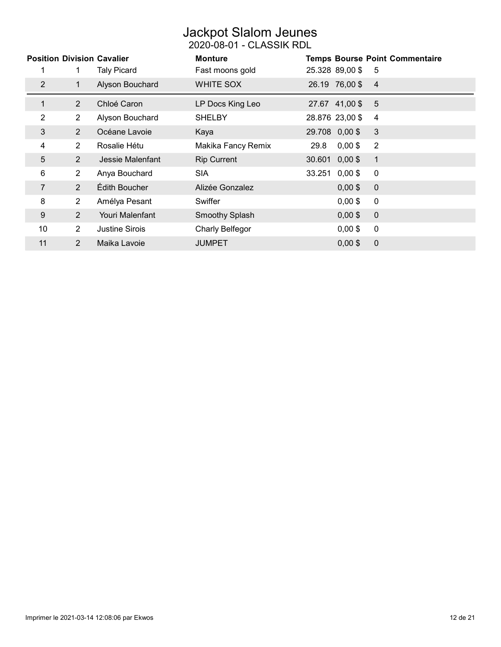# Jackpot Slalom Jeunes

#### 2020-08-01 - CLASSIK RDL

|              |                | <b>Position Division Cavalier</b> | <b>Monture</b>        |                     | <b>Temps Bourse Point Commentaire</b> |
|--------------|----------------|-----------------------------------|-----------------------|---------------------|---------------------------------------|
|              | 1.             | <b>Taly Picard</b>                | Fast moons gold       | 25.328 89,00 \$     | - 5                                   |
| 2            | 1.             | Alyson Bouchard                   | WHITE SOX             | 26.19 76,00 \$      | $\overline{4}$                        |
| $\mathbf{1}$ | $\overline{2}$ | Chloé Caron                       | LP Docs King Leo      | 27.67 41,00 \$      | -5                                    |
| 2            | $\overline{2}$ | Alyson Bouchard                   | <b>SHELBY</b>         | 28.876 23,00 \$     | $\overline{4}$                        |
| 3            | 2              | Océane Lavoie                     | Kaya                  | 29.708 0,00 \$      | 3                                     |
| 4            | $\overline{2}$ | Rosalie Hétu                      | Makika Fancy Remix    | $0,00$ \$<br>29.8   | $\overline{2}$                        |
| 5            | $\overline{2}$ | Jessie Malenfant                  | <b>Rip Current</b>    | 30.601 0,00 \$      | $\mathbf{1}$                          |
| 6            | $\overline{2}$ | Anya Bouchard                     | <b>SIA</b>            | 33.251<br>$0,00$ \$ | $\mathbf 0$                           |
| 7            | 2              | Édith Boucher                     | Alizée Gonzalez       | $0,00$ \$           | $\mathbf 0$                           |
| 8            | $\overline{2}$ | Amélya Pesant                     | Swiffer               | $0,00$ \$           | $\mathbf 0$                           |
| 9            | $\overline{2}$ | Youri Malenfant                   | <b>Smoothy Splash</b> | $0,00$ \$           | $\mathbf 0$                           |
| 10           | 2              | Justine Sirois                    | Charly Belfegor       | $0,00$ \$           | $\mathbf 0$                           |
| 11           | $\overline{2}$ | Maika Lavoie                      | <b>JUMPET</b>         | $0,00$ \$           | $\overline{0}$                        |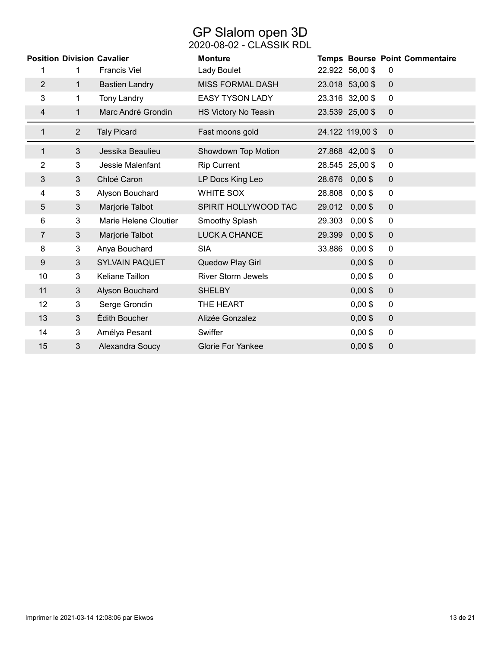### GP Slalom open 3D 2020-08-02 - CLASSIK RDL

|                |                | <b>Position Division Cavalier</b> | <b>Monture</b>            |        |                  | <b>Temps Bourse Point Commentaire</b> |
|----------------|----------------|-----------------------------------|---------------------------|--------|------------------|---------------------------------------|
| 1              | 1              | <b>Francis Viel</b>               | Lady Boulet               |        | 22.922 56,00 \$  | 0                                     |
| $\overline{2}$ | $\mathbf{1}$   | <b>Bastien Landry</b>             | <b>MISS FORMAL DASH</b>   |        | 23.018 53,00 \$  | $\mathbf 0$                           |
| 3              | 1.             | <b>Tony Landry</b>                | <b>EASY TYSON LADY</b>    |        | 23.316 32,00 \$  | $\mathbf 0$                           |
| 4              | 1              | Marc André Grondin                | HS Victory No Teasin      |        | 23.539 25,00 \$  | $\mathbf 0$                           |
| 1              | $\overline{2}$ | <b>Taly Picard</b>                | Fast moons gold           |        | 24.122 119,00 \$ | $\overline{0}$                        |
| 1              | 3              | Jessika Beaulieu                  | Showdown Top Motion       |        | 27.868 42,00 \$  | $\mathbf 0$                           |
| 2              | 3              | Jessie Malenfant                  | <b>Rip Current</b>        |        | 28.545 25,00 \$  | $\mathbf 0$                           |
| 3              | 3              | Chloé Caron                       | LP Docs King Leo          | 28.676 | $0,00$ \$        | $\mathbf 0$                           |
| 4              | 3              | Alyson Bouchard                   | WHITE SOX                 | 28.808 | $0,00$ \$        | $\mathbf 0$                           |
| 5              | $\mathfrak{B}$ | Marjorie Talbot                   | SPIRIT HOLLYWOOD TAC      | 29.012 | $0,00$ \$        | $\mathbf 0$                           |
| 6              | 3              | Marie Helene Cloutier             | Smoothy Splash            | 29.303 | $0,00$ \$        | $\mathbf 0$                           |
| 7              | 3              | Marjorie Talbot                   | <b>LUCK A CHANCE</b>      | 29.399 | $0,00$ \$        | $\mathbf 0$                           |
| 8              | 3              | Anya Bouchard                     | <b>SIA</b>                | 33.886 | $0,00$ \$        | $\pmb{0}$                             |
| 9              | 3              | <b>SYLVAIN PAQUET</b>             | Quedow Play Girl          |        | $0,00$ \$        | $\mathbf 0$                           |
| 10             | 3              | Keliane Taillon                   | <b>River Storm Jewels</b> |        | $0,00$ \$        | $\mathbf 0$                           |
| 11             | 3              | Alyson Bouchard                   | <b>SHELBY</b>             |        | $0,00$ \$        | $\mathbf 0$                           |
| 12             | 3              | Serge Grondin                     | THE HEART                 |        | $0,00$ \$        | $\mathbf 0$                           |
| 13             | 3              | Édith Boucher                     | Alizée Gonzalez           |        | $0,00$ \$        | $\mathbf 0$                           |
| 14             | 3              | Amélya Pesant                     | Swiffer                   |        | $0,00$ \$        | $\mathbf 0$                           |
| 15             | 3              | Alexandra Soucy                   | <b>Glorie For Yankee</b>  |        | $0,00$ \$        | $\mathbf 0$                           |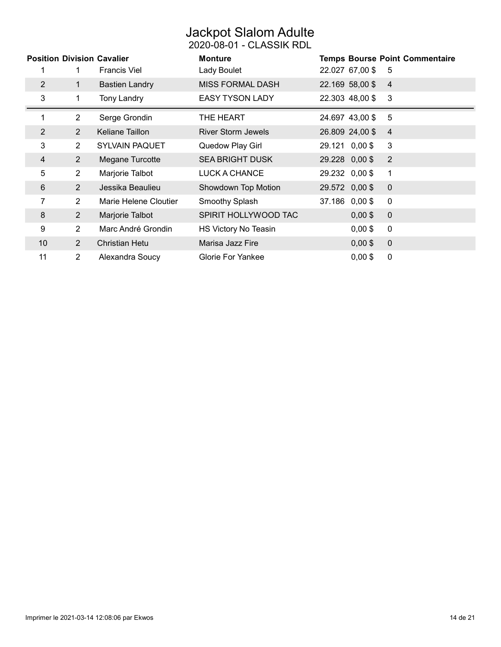# Jackpot Slalom Adulte

2020-08-01 - CLASSIK RDL

|                |                | <b>Position Division Cavalier</b> | <b>Monture</b>            |                 | <b>Temps Bourse Point Commentaire</b> |
|----------------|----------------|-----------------------------------|---------------------------|-----------------|---------------------------------------|
|                | 1              | <b>Francis Viel</b>               | Lady Boulet               | 22.027 67,00 \$ | 5                                     |
| 2              | $\mathbf{1}$   | <b>Bastien Landry</b>             | <b>MISS FORMAL DASH</b>   | 22.169 58,00 \$ | $\overline{4}$                        |
| 3              | 1              | <b>Tony Landry</b>                | <b>EASY TYSON LADY</b>    | 22.303 48,00 \$ | 3                                     |
|                | $\overline{2}$ | Serge Grondin                     | THE HEART                 | 24.697 43,00 \$ | 5                                     |
| $\overline{2}$ | $\overline{2}$ | Keliane Taillon                   | <b>River Storm Jewels</b> | 26.809 24,00 \$ | $\overline{4}$                        |
| 3              | $\overline{2}$ | <b>SYLVAIN PAQUET</b>             | Quedow Play Girl          | 29.121 0,00 \$  | 3                                     |
| 4              | $\overline{2}$ | Megane Turcotte                   | <b>SEA BRIGHT DUSK</b>    | 29.228 0,00 \$  | 2                                     |
| 5              | $\overline{2}$ | Marjorie Talbot                   | LUCK A CHANCE             | 29.232 0,00 \$  | 1                                     |
| 6              | $2^{\circ}$    | Jessika Beaulieu                  | Showdown Top Motion       | 29.572 0,00 \$  | $\mathbf 0$                           |
| 7              | $\overline{2}$ | Marie Helene Cloutier             | Smoothy Splash            | 37.186 0,00 \$  | $\mathbf 0$                           |
| 8              | $2^{\circ}$    | Marjorie Talbot                   | SPIRIT HOLLYWOOD TAC      | $0,00$ \$       | $\mathbf 0$                           |
| 9              | $\overline{2}$ | Marc André Grondin                | HS Victory No Teasin      | $0,00$ \$       | 0                                     |
| 10             | $\overline{2}$ | <b>Christian Hetu</b>             | Marisa Jazz Fire          | $0,00$ \$       | $\mathbf 0$                           |
| 11             | $\overline{2}$ | Alexandra Soucy                   | <b>Glorie For Yankee</b>  | $0,00$ \$       | $\mathbf 0$                           |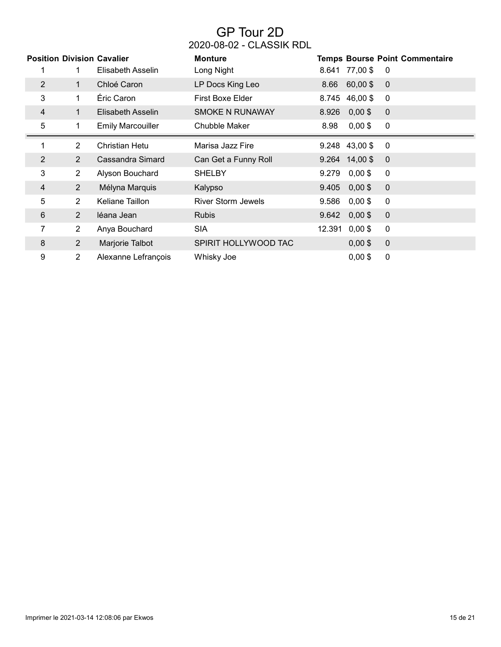# GP Tour 2D 2020-08-02 - CLASSIK RDL

|                |                | <b>Position Division Cavalier</b> | <b>Monture</b>            |                 |               | <b>Temps Bourse Point Commentaire</b> |
|----------------|----------------|-----------------------------------|---------------------------|-----------------|---------------|---------------------------------------|
|                |                | Elisabeth Asselin                 | Long Night                | 8.641 77,00 \$  |               | 0                                     |
| $\overline{2}$ | $\mathbf{1}$   | Chloé Caron                       | LP Docs King Leo          |                 | 8.66 60,00 \$ | $\mathbf 0$                           |
| 3              | $\mathbf 1$    | Éric Caron                        | First Boxe Elder          | 8.745 46,00 \$  |               | 0                                     |
| 4              | 1              | Elisabeth Asselin                 | <b>SMOKE N RUNAWAY</b>    | 8.926           | $0,00$ \$     | 0                                     |
| 5              | 1.             | <b>Emily Marcouiller</b>          | Chubble Maker             | 8.98            | $0,00$ \$     | 0                                     |
| 1              | $\overline{2}$ | Christian Hetu                    | Marisa Jazz Fire          | 9.248 43,00 \$  |               | 0                                     |
| $\overline{2}$ | $\overline{2}$ | Cassandra Simard                  | Can Get a Funny Roll      | $9.264$ 14,00\$ |               | $\mathbf 0$                           |
| 3              | $\overline{2}$ | Alyson Bouchard                   | <b>SHELBY</b>             | 9.279           | $0,00$ \$     | 0                                     |
| 4              | $\overline{2}$ | Mélyna Marquis                    | Kalypso                   | 9.405           | $0,00$ \$     | $\mathbf 0$                           |
| 5              | $\overline{2}$ | Keliane Taillon                   | <b>River Storm Jewels</b> | 9.586           | $0,00$ \$     | $\mathbf 0$                           |
| 6              | $\overline{2}$ | léana Jean                        | <b>Rubis</b>              | 9.642           | $0,00$ \$     | $\mathbf 0$                           |
| 7              | $\overline{2}$ | Anya Bouchard                     | <b>SIA</b>                | 12.391          | $0,00$ \$     | 0                                     |
| 8              | $\overline{2}$ | Marjorie Talbot                   | SPIRIT HOLLYWOOD TAC      |                 | $0,00$ \$     | $\boldsymbol{0}$                      |
| 9              | $\overline{2}$ | Alexanne Lefrançois               | Whisky Joe                |                 | $0,00$ \$     | 0                                     |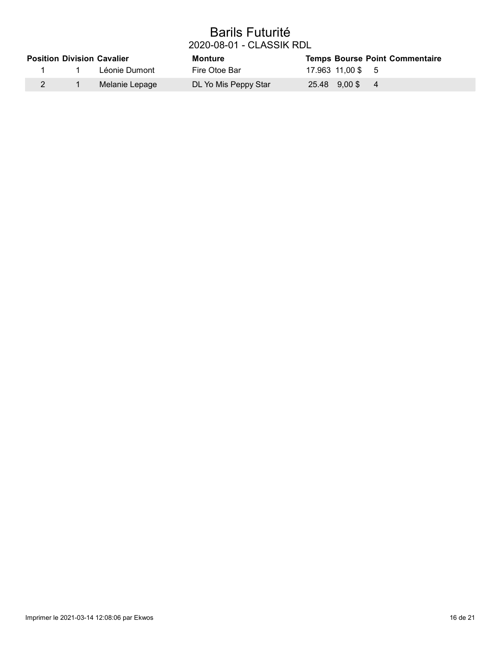### Barils Futurité 2020-08-01 - CLASSIK RDL

|  | <b>Position Division Cavalier</b> | <b>Monture</b>       | <b>Temps Bourse Point Commentaire</b> |
|--|-----------------------------------|----------------------|---------------------------------------|
|  | Léonie Dumont                     | Fire Otoe Bar        | 17.963 11,00 \$ 5                     |
|  | Melanie Lepage                    | DL Yo Mis Peppy Star | 25.48 9.00 \$4                        |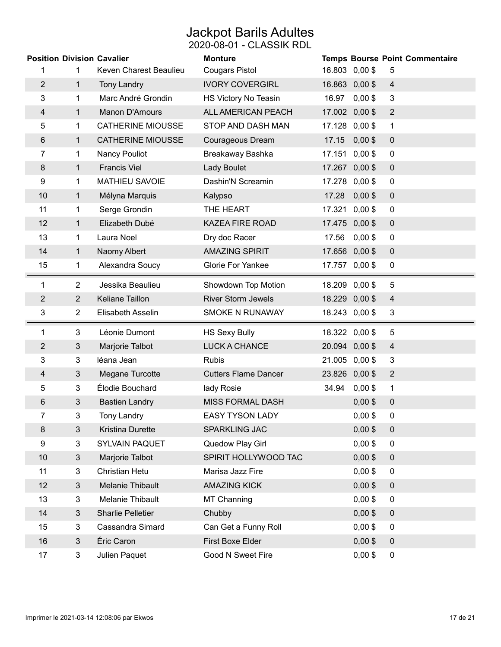# Jackpot Barils Adultes

#### 2020-08-01 - CLASSIK RDL

| <b>Position Division Cavalier</b> |                |                          | <b>Monture</b>              |       |                | <b>Temps Bourse Point Commentaire</b> |
|-----------------------------------|----------------|--------------------------|-----------------------------|-------|----------------|---------------------------------------|
| 1                                 | 1              | Keven Charest Beaulieu   | <b>Cougars Pistol</b>       |       | 16.803 0,00 \$ | 5                                     |
| 2                                 | $\mathbf{1}$   | <b>Tony Landry</b>       | <b>IVORY COVERGIRL</b>      |       | 16.863 0,00 \$ | $\overline{4}$                        |
| 3                                 | 1              | Marc André Grondin       | HS Victory No Teasin        | 16.97 | $0,00$ \$      | 3                                     |
| $\overline{4}$                    | $\mathbf{1}$   | <b>Manon D'Amours</b>    | ALL AMERICAN PEACH          |       | 17.002 0,00 \$ | $\overline{2}$                        |
| 5                                 | 1              | <b>CATHERINE MIOUSSE</b> | STOP AND DASH MAN           |       | 17.128 0,00 \$ | 1                                     |
| 6                                 | $\mathbf{1}$   | <b>CATHERINE MIOUSSE</b> | Courageous Dream            | 17.15 | $0,00$ \$      | $\pmb{0}$                             |
| 7                                 | $\mathbf{1}$   | Nancy Pouliot            | Breakaway Bashka            |       | 17.151 0,00 \$ | $\mathbf 0$                           |
| 8                                 | $\mathbf{1}$   | <b>Francis Viel</b>      | Lady Boulet                 |       | 17.267 0,00 \$ | $\mathbf 0$                           |
| 9                                 | 1              | <b>MATHIEU SAVOIE</b>    | Dashin'N Screamin           |       | 17.278 0,00 \$ | $\mathbf 0$                           |
| 10                                | $\mathbf{1}$   | Mélyna Marquis           | Kalypso                     | 17.28 | $0,00$ \$      | $\mathbf 0$                           |
| 11                                | 1              | Serge Grondin            | THE HEART                   |       | 17.321 0,00 \$ | 0                                     |
| 12                                | $\mathbf{1}$   | Elizabeth Dubé           | <b>KAZEA FIRE ROAD</b>      |       | 17.475 0,00 \$ | $\pmb{0}$                             |
| 13                                | $\mathbf{1}$   | Laura Noel               | Dry doc Racer               | 17.56 | $0,00$ \$      | $\mathbf 0$                           |
| 14                                | $\mathbf{1}$   | Naomy Albert             | <b>AMAZING SPIRIT</b>       |       | 17.656 0,00 \$ | $\mathbf 0$                           |
| 15                                | $\mathbf{1}$   | Alexandra Soucy          | <b>Glorie For Yankee</b>    |       | 17.757 0,00 \$ | 0                                     |
| 1                                 | $\overline{2}$ | Jessika Beaulieu         | Showdown Top Motion         |       | 18.209 0,00 \$ | 5                                     |
| 2                                 | $\overline{2}$ | Keliane Taillon          | <b>River Storm Jewels</b>   |       | 18.229 0,00 \$ | $\overline{4}$                        |
| 3                                 | $\overline{2}$ | Elisabeth Asselin        | <b>SMOKE N RUNAWAY</b>      |       | 18.243 0,00 \$ | 3                                     |
| 1                                 | 3              | Léonie Dumont            | <b>HS Sexy Bully</b>        |       | 18.322 0,00 \$ | 5                                     |
| $\overline{2}$                    | $\mathfrak{Z}$ | Marjorie Talbot          | <b>LUCK A CHANCE</b>        |       | 20.094 0,00 \$ | $\overline{4}$                        |
| 3                                 | 3              | léana Jean               | <b>Rubis</b>                |       | 21.005 0,00 \$ | 3                                     |
| 4                                 | 3              | Megane Turcotte          | <b>Cutters Flame Dancer</b> |       | 23.826 0,00 \$ | $\overline{2}$                        |
| 5                                 | $\overline{3}$ | Élodie Bouchard          | lady Rosie                  | 34.94 | $0,00$ \$      | $\overline{1}$                        |
| 6                                 | 3              | <b>Bastien Landry</b>    | <b>MISS FORMAL DASH</b>     |       | $0,00$ \$      | $\mathbf 0$                           |
| 7                                 | 3              | <b>Tony Landry</b>       | <b>EASY TYSON LADY</b>      |       | $0,00$ \$      | 0                                     |
| 8                                 | 3              | <b>Kristina Durette</b>  | SPARKLING JAC               |       | $0,00$ \$      | $\mathbf 0$                           |
| 9                                 | 3              | SYLVAIN PAQUET           | Quedow Play Girl            |       | $0,00$ \$      | $\mathbf 0$                           |
| 10                                | 3              | Marjorie Talbot          | SPIRIT HOLLYWOOD TAC        |       | $0,00$ \$      | $\mathbf 0$                           |
| 11                                | 3              | Christian Hetu           | Marisa Jazz Fire            |       | $0,00$ \$      | 0                                     |
| 12                                | 3              | Melanie Thibault         | <b>AMAZING KICK</b>         |       | $0,00$ \$      | $\overline{0}$                        |
| 13                                | 3              | Melanie Thibault         | <b>MT Channing</b>          |       | $0,00$ \$      | $\overline{0}$                        |
| 14                                | $\mathbf{3}$   | <b>Sharlie Pelletier</b> | Chubby                      |       | $0,00$ \$      | $\mathbf 0$                           |
| 15                                | 3              | Cassandra Simard         | Can Get a Funny Roll        |       | $0,00$ \$      | 0                                     |
| 16                                | $\mathbf{3}$   | Éric Caron               | First Boxe Elder            |       | $0,00$ \$      | $\pmb{0}$                             |
| 17                                | 3              | Julien Paquet            | Good N Sweet Fire           |       | $0,00$ \$      | 0                                     |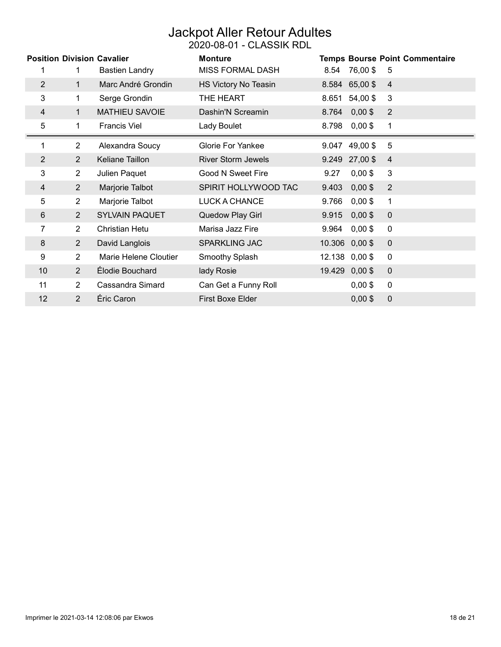### Jackpot Aller Retour Adultes 2020-08-01 - CLASSIK RDL

|                |                | <b>Position Division Cavalier</b> | <b>Monture</b>            |       |                 | <b>Temps Bourse Point Commentaire</b> |
|----------------|----------------|-----------------------------------|---------------------------|-------|-----------------|---------------------------------------|
|                | 1              | <b>Bastien Landry</b>             | <b>MISS FORMAL DASH</b>   | 8.54  | 76,00 \$        | 5                                     |
| $\overline{2}$ | $\mathbf{1}$   | Marc André Grondin                | HS Victory No Teasin      |       | 8.584 65,00 \$  | $\overline{4}$                        |
| 3              | 1              | Serge Grondin                     | THE HEART                 | 8.651 | 54,00 \$        | 3                                     |
| 4              | $\mathbf{1}$   | <b>MATHIEU SAVOIE</b>             | Dashin'N Screamin         | 8.764 | $0,00$ \$       | $\overline{2}$                        |
| 5              | $\mathbf 1$    | <b>Francis Viel</b>               | Lady Boulet               |       | 8.798 0,00\$    | 1                                     |
|                | $\overline{2}$ | Alexandra Soucy                   | <b>Glorie For Yankee</b>  | 9.047 | 49,00 \$        | 5                                     |
| $\overline{2}$ | $\overline{2}$ | Keliane Taillon                   | <b>River Storm Jewels</b> |       | $9.249$ 27,00\$ | $\overline{4}$                        |
| 3              | $\overline{2}$ | Julien Paquet                     | Good N Sweet Fire         | 9.27  | $0,00$ \$       | 3                                     |
| 4              | $\overline{2}$ | Marjorie Talbot                   | SPIRIT HOLLYWOOD TAC      | 9.403 | $0,00$ \$       | $\overline{2}$                        |
| 5              | $\overline{2}$ | Marjorie Talbot                   | LUCK A CHANCE             | 9.766 | $0,00$ \$       | 1                                     |
| 6              | $\overline{2}$ | <b>SYLVAIN PAQUET</b>             | Quedow Play Girl          | 9.915 | $0,00$ \$       | $\mathbf 0$                           |
| 7              | $\overline{2}$ | Christian Hetu                    | Marisa Jazz Fire          | 9.964 | $0,00$ \$       | $\mathbf 0$                           |
| 8              | $\overline{2}$ | David Langlois                    | <b>SPARKLING JAC</b>      |       | 10.306 0,00 \$  | $\mathbf 0$                           |
| 9              | $\overline{2}$ | Marie Helene Cloutier             | Smoothy Splash            |       | 12.138 0,00 \$  | 0                                     |
| 10             | 2              | Élodie Bouchard                   | lady Rosie                |       | 19.429 0,00 \$  | $\mathbf 0$                           |
| 11             | $\overline{2}$ | Cassandra Simard                  | Can Get a Funny Roll      |       | $0,00$ \$       | 0                                     |
| 12             | 2              | Éric Caron                        | <b>First Boxe Elder</b>   |       | $0,00$ \$       | $\mathbf 0$                           |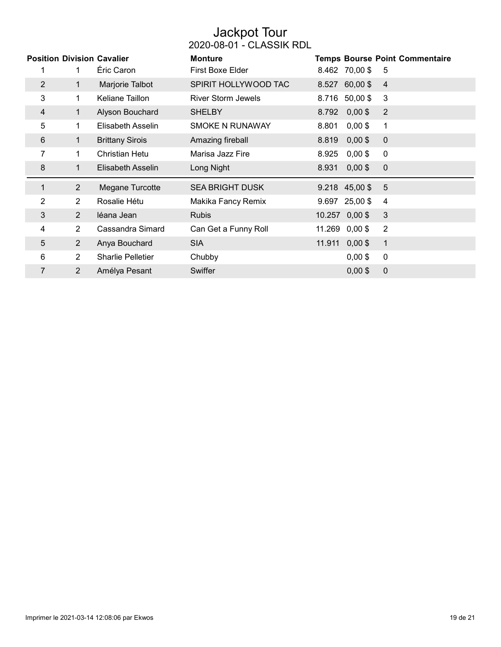### Jackpot Tour 2020-08-01 - CLASSIK RDL

|                | <b>Position Division Cavalier</b><br>1 | Éric Caron               | <b>Monture</b><br><b>First Boxe Elder</b> |        | 8.462 70,00 \$  | <b>Temps Bourse Point Commentaire</b><br>5 |
|----------------|----------------------------------------|--------------------------|-------------------------------------------|--------|-----------------|--------------------------------------------|
| $\overline{2}$ | 1.                                     | Marjorie Talbot          | SPIRIT HOLLYWOOD TAC                      |        | 8.527 60,00 \$  | $\overline{4}$                             |
| 3              | $\mathbf 1$                            | Keliane Taillon          | <b>River Storm Jewels</b>                 |        | 8.716 50,00 \$  | 3                                          |
| 4              | 1                                      | Alyson Bouchard          | <b>SHELBY</b>                             | 8.792  | $0,00$ \$       | $\overline{2}$                             |
| 5              | 1.                                     | Elisabeth Asselin        | <b>SMOKE N RUNAWAY</b>                    | 8.801  | $0,00$ \$       | 1                                          |
| 6              | 1                                      | <b>Brittany Sirois</b>   | Amazing fireball                          | 8.819  | $0,00$ \$       | $\mathbf 0$                                |
| 7              | 1.                                     | <b>Christian Hetu</b>    | Marisa Jazz Fire                          | 8.925  | $0,00$ \$       | 0                                          |
| 8              | 1                                      | Elisabeth Asselin        | Long Night                                | 8.931  | $0,00$ \$       | $\mathbf 0$                                |
| 1              | $\overline{2}$                         | Megane Turcotte          | <b>SEA BRIGHT DUSK</b>                    |        | 9.218 45,00 \$  | 5                                          |
| $\overline{2}$ | $\overline{2}$                         | Rosalie Hétu             | Makika Fancy Remix                        |        | $9.697$ 25,00\$ | $\overline{4}$                             |
| 3              | $\overline{2}$                         | léana Jean               | <b>Rubis</b>                              |        | 10.257 0,00 \$  | 3                                          |
| 4              | $\overline{2}$                         | Cassandra Simard         | Can Get a Funny Roll                      |        | 11.269 0,00 \$  | $\overline{2}$                             |
| 5              | $\overline{2}$                         | Anya Bouchard            | <b>SIA</b>                                | 11.911 | $0,00$ \$       | $\mathbf{1}$                               |
| 6              | $\overline{2}$                         | <b>Sharlie Pelletier</b> | Chubby                                    |        | $0,00$ \$       | $\mathbf 0$                                |
| $\overline{7}$ | $\overline{2}$                         | Amélya Pesant            | Swiffer                                   |        | $0,00$ \$       | $\mathbf 0$                                |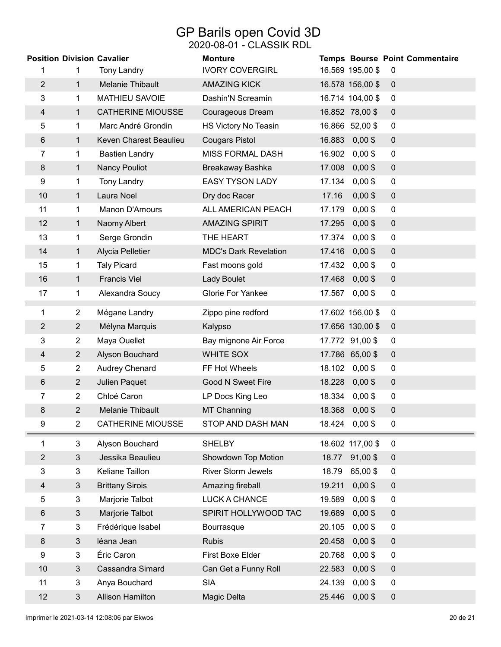### GP Barils open Covid 3D 2020-08-01 - CLASSIK RDL

|                |                | <b>Position Division Cavalier</b> | <b>Monture</b>               |        |                  | Temps Bourse Point Commentaire |
|----------------|----------------|-----------------------------------|------------------------------|--------|------------------|--------------------------------|
| 1              | 1              | <b>Tony Landry</b>                | <b>IVORY COVERGIRL</b>       |        | 16.569 195,00 \$ | $\mathbf 0$                    |
| $\overline{2}$ | $\mathbf{1}$   | <b>Melanie Thibault</b>           | <b>AMAZING KICK</b>          |        | 16.578 156,00 \$ | $\mathbf 0$                    |
| 3              | 1              | <b>MATHIEU SAVOIE</b>             | Dashin'N Screamin            |        | 16.714 104,00 \$ | $\mathbf 0$                    |
| 4              | $\mathbf 1$    | <b>CATHERINE MIOUSSE</b>          | Courageous Dream             |        | 16.852 78,00 \$  | $\pmb{0}$                      |
| 5              | 1              | Marc André Grondin                | HS Victory No Teasin         |        | 16.866 52,00 \$  | $\pmb{0}$                      |
| 6              | 1              | Keven Charest Beaulieu            | <b>Cougars Pistol</b>        | 16.883 | $0,00$ \$        | $\mathbf 0$                    |
| 7              | 1              | <b>Bastien Landry</b>             | <b>MISS FORMAL DASH</b>      | 16.902 | $0,00$ \$        | $\mathbf 0$                    |
| 8              | $\mathbf{1}$   | <b>Nancy Pouliot</b>              | Breakaway Bashka             | 17.008 | $0,00$ \$        | $\pmb{0}$                      |
| 9              | 1              | <b>Tony Landry</b>                | <b>EASY TYSON LADY</b>       | 17.134 | $0,00$ \$        | $\mathbf 0$                    |
| 10             | $\mathbf 1$    | Laura Noel                        | Dry doc Racer                | 17.16  | $0,00$ \$        | $\mathbf 0$                    |
| 11             | 1              | Manon D'Amours                    | ALL AMERICAN PEACH           | 17.179 | $0,00$ \$        | $\pmb{0}$                      |
| 12             | 1              | Naomy Albert                      | <b>AMAZING SPIRIT</b>        | 17.295 | $0,00$ \$        | $\mathbf 0$                    |
| 13             | 1              | Serge Grondin                     | THE HEART                    | 17.374 | $0,00$ \$        | $\mathbf 0$                    |
| 14             | $\mathbf{1}$   | Alycia Pelletier                  | <b>MDC's Dark Revelation</b> | 17.416 | $0,00$ \$        | $\pmb{0}$                      |
| 15             | 1              | <b>Taly Picard</b>                | Fast moons gold              | 17.432 | $0,00$ \$        | $\mathbf 0$                    |
| 16             | $\mathbf 1$    | <b>Francis Viel</b>               | <b>Lady Boulet</b>           | 17.468 | $0,00$ \$        | $\pmb{0}$                      |
| 17             | 1              | Alexandra Soucy                   | Glorie For Yankee            | 17.567 | $0,00$ \$        | $\pmb{0}$                      |
| 1              | $\overline{2}$ | Mégane Landry                     | Zippo pine redford           |        | 17.602 156,00 \$ | $\mathbf 0$                    |
| 2              | $\overline{2}$ | Mélyna Marquis                    | Kalypso                      |        | 17.656 130,00 \$ | $\pmb{0}$                      |
| 3              | $\overline{2}$ | Maya Ouellet                      | Bay mignone Air Force        |        | 17.772 91,00 \$  | $\mathbf 0$                    |
| $\overline{4}$ | $\overline{2}$ | Alyson Bouchard                   | WHITE SOX                    |        | 17.786 65,00 \$  | $\pmb{0}$                      |
| 5              | $\overline{2}$ | Audrey Chenard                    | FF Hot Wheels                |        | 18.102 0,00 \$   | $\boldsymbol{0}$               |
| 6              | $\overline{2}$ | Julien Paquet                     | Good N Sweet Fire            | 18.228 | $0,00$ \$        | $\mathbf 0$                    |
| 7              | $\overline{2}$ | Chloé Caron                       | LP Docs King Leo             | 18.334 | $0,00$ \$        | 0                              |
| 8              | $\overline{2}$ | <b>Melanie Thibault</b>           | <b>MT Channing</b>           | 18.368 | $0,00$ \$        | $\pmb{0}$                      |
| 9              | $\overline{2}$ | <b>CATHERINE MIOUSSE</b>          | STOP AND DASH MAN            | 18.424 | $0,00$ \$        | $\pmb{0}$                      |
| 1              | 3              | Alyson Bouchard                   | <b>SHELBY</b>                |        | 18.602 117,00 \$ | $\mathbf 0$                    |
| $\overline{2}$ | $\mathfrak{S}$ | Jessika Beaulieu                  | Showdown Top Motion          | 18.77  | 91,00\$          | $\mathbf 0$                    |
| 3              | 3              | Keliane Taillon                   | <b>River Storm Jewels</b>    | 18.79  | 65,00\$          | $\pmb{0}$                      |
| 4              | 3              | <b>Brittany Sirois</b>            | Amazing fireball             | 19.211 | $0,00$ \$        | $\pmb{0}$                      |
| 5              | $\overline{3}$ | Marjorie Talbot                   | LUCK A CHANCE                | 19.589 | $0,00$ \$        | $\overline{0}$                 |
| 6              | 3              | Marjorie Talbot                   | SPIRIT HOLLYWOOD TAC         | 19.689 | $0,00$ \$        | $\pmb{0}$                      |
| 7              | 3              | Frédérique Isabel                 | Bourrasque                   | 20.105 | $0,00$ \$        | $\overline{0}$                 |
| 8              | 3              | léana Jean                        | <b>Rubis</b>                 | 20.458 | $0,00$ \$        | $\boldsymbol{0}$               |
| 9              | 3              | Éric Caron                        | First Boxe Elder             | 20.768 | $0,00$ \$        | $\overline{0}$                 |
| 10             | 3              | Cassandra Simard                  | Can Get a Funny Roll         | 22.583 | $0,00$ \$        | $\pmb{0}$                      |
| 11             | 3              | Anya Bouchard                     | <b>SIA</b>                   | 24.139 | $0,00$ \$        | 0                              |
| 12             | 3              | <b>Allison Hamilton</b>           | Magic Delta                  | 25.446 | $0,00$ \$        | $\boldsymbol{0}$               |